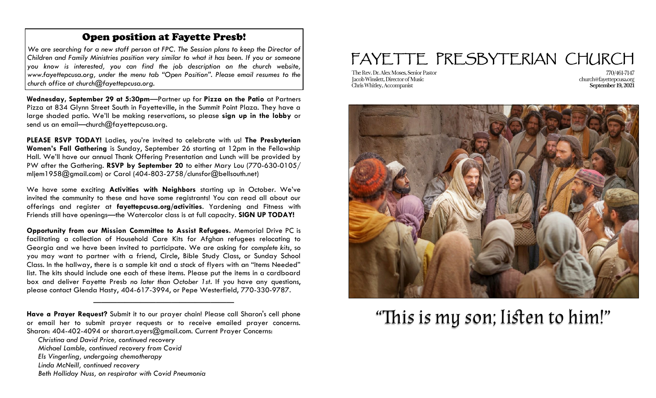### Open position at Fayette Presb!

*We are searching for a new staff person at FPC. The Session plans to keep the Director of Children and Family Ministries position very similar to what it has been. If you or someone you know is interested, you can find the job description on the church website, www.fayettepcusa.org, under the menu tab "Open Position". Please email resumes to the church office at church@fayettepcusa.org.*

**Wednesday, September 29 at 5:30pm**—Partner up for **Pizza on the Patio** at Partners Pizza at 834 Glynn Street South in Fayetteville, in the Summit Point Plaza. They have a large shaded patio. We'll be making reservations, so please **sign up in the lobby** or send us an email—church@fayettepcusa.org.

**PLEASE RSVP TODAY!** Ladies, you're invited to celebrate with us! **The Presbyterian Women's Fall Gathering** is Sunday, September 26 starting at 12pm in the Fellowship Hall. We'll have our annual Thank Offering Presentation and Lunch will be provided by PW after the Gathering. **RSVP by September 20** to either Mary Lou (770-630-0105/ mljem1958@gmail.com) or Carol (404-803-2758/clunsfor@bellsouth.net)

We have some exciting **Activities with Neighbors** starting up in October. We've invited the community to these and have some registrants! You can read all about our offerings and register at **fayettepcusa.org/activities**. Yardening and Fitness with Friends still have openings—the Watercolor class is at full capacity. **SIGN UP TODAY!**

**Opportunity from our Mission Committee to Assist Refugees.** Memorial Drive PC is facilitating a collection of Household Care Kits for Afghan refugees relocating to Georgia and we have been invited to participate. We are asking for *complete kits*, so you may want to partner with a friend, Circle, Bible Study Class, or Sunday School Class. In the hallway, there is a sample kit and a stack of flyers with an "Items Needed" list. The kits should include one each of these items. Please put the items in a cardboard box and deliver Fayette Presb *no later than October 1st*. If you have any questions, please contact Glenda Hasty, 404-617-3994, or Pepe Westerfield, 770-330-9787.

**Have a Prayer Request?** Submit it to our prayer chain! Please call Sharon's cell phone or email her to submit prayer requests or to receive emailed prayer concerns. Sharon: 404-402-4094 or sharart.ayers@gmail.com. Current Prayer Concerns:

——————————————————

*Beth Holliday Nuss, on respirator with Covid Pneumonia* 

## FAYETTE PRESBYTERIAN CHURCH

The Rev. Dr. Alex Moses. Senior Pastor Jacob Winslett, Director of Music Chris Whitley, Accompanist

770/461-7147 church@fayettepcusa.org September 19, 2021



# "This is my son; listen to him!"

*Christina and David Price, continued recovery* 

*Michael Lamble, continued recovery from Covid*

*Els Vingerling, undergoing chemotherapy*

*Linda McNeill, continued recovery*